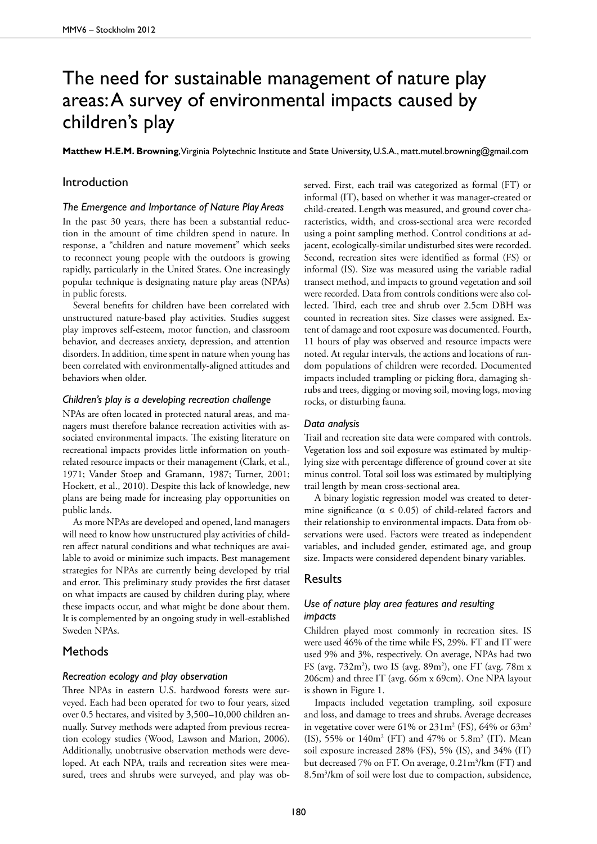# The need for sustainable management of nature play areas: A survey of environmental impacts caused by children's play

**Matthew H.E.M. Browning**, Virginia Polytechnic Institute and State University, U.S.A., matt.mutel.browning@gmail.com

# Introduction

#### *The Emergence and Importance of Nature Play Areas*

In the past 30 years, there has been a substantial reduction in the amount of time children spend in nature. In response, a "children and nature movement" which seeks to reconnect young people with the outdoors is growing rapidly, particularly in the United States. One increasingly popular technique is designating nature play areas (NPAs) in public forests.

Several benefits for children have been correlated with unstructured nature-based play activities. Studies suggest play improves self-esteem, motor function, and classroom behavior, and decreases anxiety, depression, and attention disorders. In addition, time spent in nature when young has been correlated with environmentally-aligned attitudes and behaviors when older.

### *Children's play is a developing recreation challenge*

NPAs are often located in protected natural areas, and managers must therefore balance recreation activities with associated environmental impacts. The existing literature on recreational impacts provides little information on youthrelated resource impacts or their management (Clark, et al., 1971; Vander Stoep and Gramann, 1987; Turner, 2001; Hockett, et al., 2010). Despite this lack of knowledge, new plans are being made for increasing play opportunities on public lands.

As more NPAs are developed and opened, land managers will need to know how unstructured play activities of children affect natural conditions and what techniques are available to avoid or minimize such impacts. Best management strategies for NPAs are currently being developed by trial and error. This preliminary study provides the first dataset on what impacts are caused by children during play, where these impacts occur, and what might be done about them. It is complemented by an ongoing study in well-established Sweden NPAs.

# **Methods**

#### *Recreation ecology and play observation*

Three NPAs in eastern U.S. hardwood forests were surveyed. Each had been operated for two to four years, sized over 0.5 hectares, and visited by 3,500–10,000 children annually. Survey methods were adapted from previous recreation ecology studies (Wood, Lawson and Marion, 2006). Additionally, unobtrusive observation methods were developed. At each NPA, trails and recreation sites were measured, trees and shrubs were surveyed, and play was ob-

served. First, each trail was categorized as formal (FT) or informal (IT), based on whether it was manager-created or child-created. Length was measured, and ground cover characteristics, width, and cross-sectional area were recorded using a point sampling method. Control conditions at adjacent, ecologically-similar undisturbed sites were recorded. Second, recreation sites were identified as formal (FS) or informal (IS). Size was measured using the variable radial transect method, and impacts to ground vegetation and soil were recorded. Data from controls conditions were also collected. Third, each tree and shrub over 2.5cm DBH was counted in recreation sites. Size classes were assigned. Extent of damage and root exposure was documented. Fourth, 11 hours of play was observed and resource impacts were noted. At regular intervals, the actions and locations of random populations of children were recorded. Documented impacts included trampling or picking flora, damaging shrubs and trees, digging or moving soil, moving logs, moving rocks, or disturbing fauna.

#### *Data analysis*

Trail and recreation site data were compared with controls. Vegetation loss and soil exposure was estimated by multiplying size with percentage difference of ground cover at site minus control. Total soil loss was estimated by multiplying trail length by mean cross-sectional area.

A binary logistic regression model was created to determine significance ( $\alpha \leq 0.05$ ) of child-related factors and their relationship to environmental impacts. Data from observations were used. Factors were treated as independent variables, and included gender, estimated age, and group size. Impacts were considered dependent binary variables.

#### **Results**

## *Use of nature play area features and resulting impacts*

Children played most commonly in recreation sites. IS were used 46% of the time while FS, 29%. FT and IT were used 9% and 3%, respectively. On average, NPAs had two FS (avg. 732m<sup>2</sup>), two IS (avg. 89m<sup>2</sup>), one FT (avg. 78m x 206cm) and three IT (avg. 66m x 69cm). One NPA layout is shown in Figure 1.

Impacts included vegetation trampling, soil exposure and loss, and damage to trees and shrubs. Average decreases in vegetative cover were  $61\%$  or  $231\,\mathrm{m}^2$  (FS),  $64\%$  or  $63\,\mathrm{m}^2$ (IS), 55% or  $140m^2$  (FT) and 47% or 5.8m<sup>2</sup> (IT). Mean soil exposure increased 28% (FS), 5% (IS), and 34% (IT) but decreased 7% on FT. On average, 0.21m<sup>3</sup>/km (FT) and 8.5m3 /km of soil were lost due to compaction, subsidence,